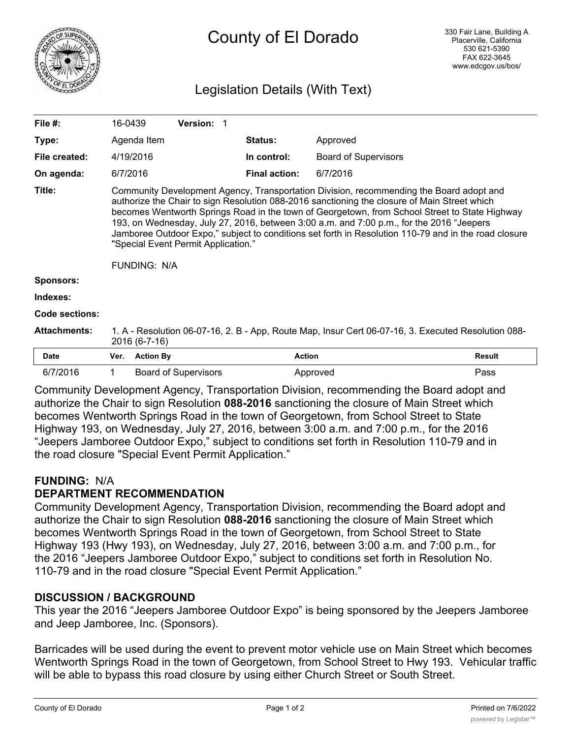

# County of El Dorado

# Legislation Details (With Text)

| File #:                                                                                 | 16-0439                                                                                                                                                                                                                                                                                                                                                                                                                                                                                                                                                    |                  | <b>Version: 1</b>           |                             |          |        |
|-----------------------------------------------------------------------------------------|------------------------------------------------------------------------------------------------------------------------------------------------------------------------------------------------------------------------------------------------------------------------------------------------------------------------------------------------------------------------------------------------------------------------------------------------------------------------------------------------------------------------------------------------------------|------------------|-----------------------------|-----------------------------|----------|--------|
| Type:                                                                                   | Agenda Item                                                                                                                                                                                                                                                                                                                                                                                                                                                                                                                                                |                  |                             | Status:                     | Approved |        |
| File created:                                                                           | 4/19/2016                                                                                                                                                                                                                                                                                                                                                                                                                                                                                                                                                  |                  | In control:                 | <b>Board of Supervisors</b> |          |        |
| On agenda:                                                                              |                                                                                                                                                                                                                                                                                                                                                                                                                                                                                                                                                            | 6/7/2016         |                             | <b>Final action:</b>        | 6/7/2016 |        |
| Title:                                                                                  | Community Development Agency, Transportation Division, recommending the Board adopt and<br>authorize the Chair to sign Resolution 088-2016 sanctioning the closure of Main Street which<br>becomes Wentworth Springs Road in the town of Georgetown, from School Street to State Highway<br>193, on Wednesday, July 27, 2016, between 3:00 a.m. and 7:00 p.m., for the 2016 "Jeepers<br>Jamboree Outdoor Expo," subject to conditions set forth in Resolution 110-79 and in the road closure<br>"Special Event Permit Application."<br><b>FUNDING: N/A</b> |                  |                             |                             |          |        |
| <b>Sponsors:</b>                                                                        |                                                                                                                                                                                                                                                                                                                                                                                                                                                                                                                                                            |                  |                             |                             |          |        |
| Indexes:                                                                                |                                                                                                                                                                                                                                                                                                                                                                                                                                                                                                                                                            |                  |                             |                             |          |        |
| Code sections:                                                                          |                                                                                                                                                                                                                                                                                                                                                                                                                                                                                                                                                            |                  |                             |                             |          |        |
| <b>Attachments:</b>                                                                     | 1. A - Resolution 06-07-16, 2. B - App, Route Map, Insur Cert 06-07-16, 3. Executed Resolution 088-<br>2016 (6-7-16)                                                                                                                                                                                                                                                                                                                                                                                                                                       |                  |                             |                             |          |        |
| <b>Date</b>                                                                             | Ver.                                                                                                                                                                                                                                                                                                                                                                                                                                                                                                                                                       | <b>Action By</b> |                             | <b>Action</b>               |          | Result |
| 6/7/2016                                                                                | 1                                                                                                                                                                                                                                                                                                                                                                                                                                                                                                                                                          |                  | <b>Board of Supervisors</b> |                             | Approved | Pass   |
| Community Development Agency, Transportation Division, recommending the Board adopt and |                                                                                                                                                                                                                                                                                                                                                                                                                                                                                                                                                            |                  |                             |                             |          |        |

authorize the Chair to sign Resolution **088-2016** sanctioning the closure of Main Street which becomes Wentworth Springs Road in the town of Georgetown, from School Street to State Highway 193, on Wednesday, July 27, 2016, between 3:00 a.m. and 7:00 p.m., for the 2016 "Jeepers Jamboree Outdoor Expo," subject to conditions set forth in Resolution 110-79 and in the road closure "Special Event Permit Application."

# **FUNDING:** N/A

# **DEPARTMENT RECOMMENDATION**

Community Development Agency, Transportation Division, recommending the Board adopt and authorize the Chair to sign Resolution **088-2016** sanctioning the closure of Main Street which becomes Wentworth Springs Road in the town of Georgetown, from School Street to State Highway 193 (Hwy 193), on Wednesday, July 27, 2016, between 3:00 a.m. and 7:00 p.m., for the 2016 "Jeepers Jamboree Outdoor Expo," subject to conditions set forth in Resolution No. 110-79 and in the road closure "Special Event Permit Application."

## **DISCUSSION / BACKGROUND**

This year the 2016 "Jeepers Jamboree Outdoor Expo" is being sponsored by the Jeepers Jamboree and Jeep Jamboree, Inc. (Sponsors).

Barricades will be used during the event to prevent motor vehicle use on Main Street which becomes Wentworth Springs Road in the town of Georgetown, from School Street to Hwy 193. Vehicular traffic will be able to bypass this road closure by using either Church Street or South Street.